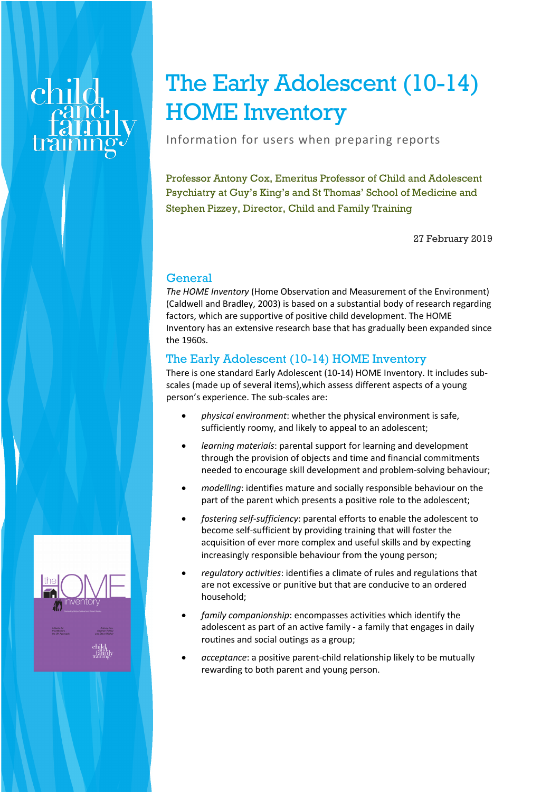# The Early Adolescent (10-14) HOME Inventory

Information for users when preparing reports

Professor Antony Cox, Emeritus Professor of Child and Adolescent Psychiatry at Guy's King's and St Thomas' School of Medicine and Stephen Pizzey, Director, Child and Family Training

27 February 2019

# **General**

*The HOME Inventory* (Home Observation and Measurement of the Environment) (Caldwell and Bradley, 2003) is based on a substantial body of research regarding factors, which are supportive of positive child development. The HOME Inventory has an extensive research base that has gradually been expanded since the 1960s.

# The Early Adolescent (10-14) HOME Inventory

There is one standard Early Adolescent (10-14) HOME Inventory. It includes subscales (made up of several items),which assess different aspects of a young person's experience. The sub-scales are:

- *physical environment*: whether the physical environment is safe, sufficiently roomy, and likely to appeal to an adolescent;
- *learning materials*: parental support for learning and development through the provision of objects and time and financial commitments needed to encourage skill development and problem-solving behaviour;
- *modelling*: identifies mature and socially responsible behaviour on the part of the parent which presents a positive role to the adolescent;
- *fostering self-sufficiency*: parental efforts to enable the adolescent to become self-sufficient by providing training that will foster the acquisition of ever more complex and useful skills and by expecting increasingly responsible behaviour from the young person;
- *regulatory activities*: identifies a climate of rules and regulations that are not excessive or punitive but that are conducive to an ordered household;
- *family companionship*: encompasses activities which identify the adolescent as part of an active family - a family that engages in daily routines and social outings as a group;
- *acceptance*: a positive parent-child relationship likely to be mutually rewarding to both parent and young person.